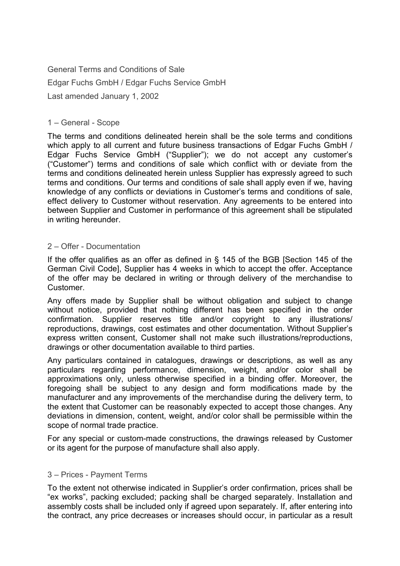General Terms and Conditions of Sale Edgar Fuchs GmbH / Edgar Fuchs Service GmbH Last amended January 1, 2002

### 1 – General - Scope

The terms and conditions delineated herein shall be the sole terms and conditions which apply to all current and future business transactions of Edgar Fuchs GmbH / Edgar Fuchs Service GmbH ("Supplier"); we do not accept any customer's ("Customer") terms and conditions of sale which conflict with or deviate from the terms and conditions delineated herein unless Supplier has expressly agreed to such terms and conditions. Our terms and conditions of sale shall apply even if we, having knowledge of any conflicts or deviations in Customer's terms and conditions of sale, effect delivery to Customer without reservation. Any agreements to be entered into between Supplier and Customer in performance of this agreement shall be stipulated in writing hereunder.

### 2 – Offer - Documentation

If the offer qualifies as an offer as defined in § 145 of the BGB [Section 145 of the German Civil Code], Supplier has 4 weeks in which to accept the offer. Acceptance of the offer may be declared in writing or through delivery of the merchandise to **Customer** 

Any offers made by Supplier shall be without obligation and subject to change without notice, provided that nothing different has been specified in the order confirmation. Supplier reserves title and/or copyright to any illustrations/ reproductions, drawings, cost estimates and other documentation. Without Supplier's express written consent, Customer shall not make such illustrations/reproductions, drawings or other documentation available to third parties.

Any particulars contained in catalogues, drawings or descriptions, as well as any particulars regarding performance, dimension, weight, and/or color shall be approximations only, unless otherwise specified in a binding offer. Moreover, the foregoing shall be subject to any design and form modifications made by the manufacturer and any improvements of the merchandise during the delivery term, to the extent that Customer can be reasonably expected to accept those changes. Any deviations in dimension, content, weight, and/or color shall be permissible within the scope of normal trade practice.

For any special or custom-made constructions, the drawings released by Customer or its agent for the purpose of manufacture shall also apply.

# 3 – Prices - Payment Terms

To the extent not otherwise indicated in Supplier's order confirmation, prices shall be "ex works", packing excluded; packing shall be charged separately. Installation and assembly costs shall be included only if agreed upon separately. If, after entering into the contract, any price decreases or increases should occur, in particular as a result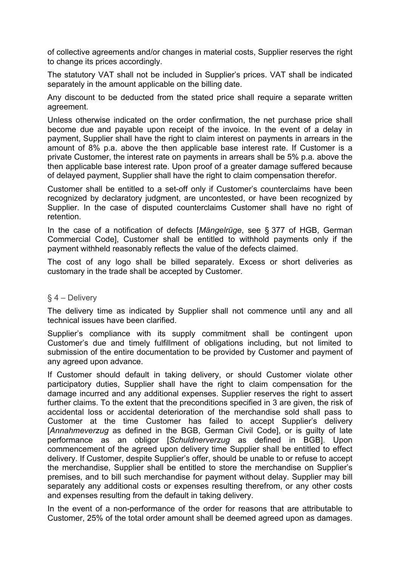of collective agreements and/or changes in material costs, Supplier reserves the right to change its prices accordingly.

The statutory VAT shall not be included in Supplier's prices. VAT shall be indicated separately in the amount applicable on the billing date.

Any discount to be deducted from the stated price shall require a separate written agreement.

Unless otherwise indicated on the order confirmation, the net purchase price shall become due and payable upon receipt of the invoice. In the event of a delay in payment, Supplier shall have the right to claim interest on payments in arrears in the amount of 8% p.a. above the then applicable base interest rate. If Customer is a private Customer, the interest rate on payments in arrears shall be 5% p.a. above the then applicable base interest rate. Upon proof of a greater damage suffered because of delayed payment, Supplier shall have the right to claim compensation therefor.

Customer shall be entitled to a set-off only if Customer's counterclaims have been recognized by declaratory judgment, are uncontested, or have been recognized by Supplier. In the case of disputed counterclaims Customer shall have no right of retention.

In the case of a notification of defects [*Mängelrüge*, see § 377 of HGB, German Commercial Code], Customer shall be entitled to withhold payments only if the payment withheld reasonably reflects the value of the defects claimed.

The cost of any logo shall be billed separately. Excess or short deliveries as customary in the trade shall be accepted by Customer.

#### § 4 – Delivery

The delivery time as indicated by Supplier shall not commence until any and all technical issues have been clarified.

Supplier's compliance with its supply commitment shall be contingent upon Customer's due and timely fulfillment of obligations including, but not limited to submission of the entire documentation to be provided by Customer and payment of any agreed upon advance.

If Customer should default in taking delivery, or should Customer violate other participatory duties, Supplier shall have the right to claim compensation for the damage incurred and any additional expenses. Supplier reserves the right to assert further claims. To the extent that the preconditions specified in 3 are given, the risk of accidental loss or accidental deterioration of the merchandise sold shall pass to Customer at the time Customer has failed to accept Supplier's delivery [*Annahmeverzug* as defined in the BGB, German Civil Code], or is guilty of late performance as an obligor [*Schuldnerverzug* as defined in BGB]. Upon commencement of the agreed upon delivery time Supplier shall be entitled to effect delivery. If Customer, despite Supplier's offer, should be unable to or refuse to accept the merchandise, Supplier shall be entitled to store the merchandise on Supplier's premises, and to bill such merchandise for payment without delay. Supplier may bill separately any additional costs or expenses resulting therefrom, or any other costs and expenses resulting from the default in taking delivery.

In the event of a non-performance of the order for reasons that are attributable to Customer, 25% of the total order amount shall be deemed agreed upon as damages.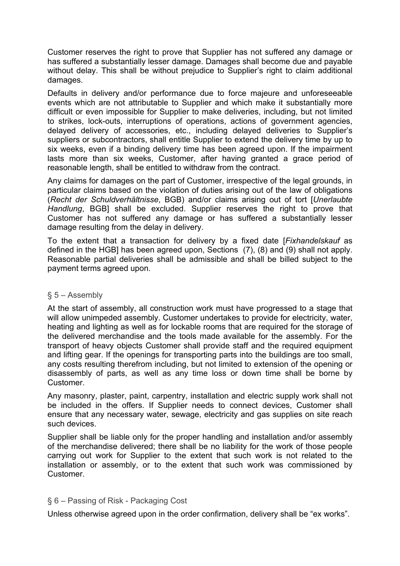Customer reserves the right to prove that Supplier has not suffered any damage or has suffered a substantially lesser damage. Damages shall become due and payable without delay. This shall be without prejudice to Supplier's right to claim additional damages.

Defaults in delivery and/or performance due to force majeure and unforeseeable events which are not attributable to Supplier and which make it substantially more difficult or even impossible for Supplier to make deliveries, including, but not limited to strikes, lock-outs, interruptions of operations, actions of government agencies, delayed delivery of accessories, etc., including delayed deliveries to Supplier's suppliers or subcontractors, shall entitle Supplier to extend the delivery time by up to six weeks, even if a binding delivery time has been agreed upon. If the impairment lasts more than six weeks, Customer, after having granted a grace period of reasonable length, shall be entitled to withdraw from the contract.

Any claims for damages on the part of Customer, irrespective of the legal grounds, in particular claims based on the violation of duties arising out of the law of obligations (*Recht der Schuldverhältnisse*, BGB) and/or claims arising out of tort [*Unerlaubte Handlung*, BGB] shall be excluded. Supplier reserves the right to prove that Customer has not suffered any damage or has suffered a substantially lesser damage resulting from the delay in delivery.

To the extent that a transaction for delivery by a fixed date [*Fixhandelskauf* as defined in the HGB] has been agreed upon, Sections (7), (8) and (9) shall not apply. Reasonable partial deliveries shall be admissible and shall be billed subject to the payment terms agreed upon.

# § 5 – Assembly

At the start of assembly, all construction work must have progressed to a stage that will allow unimpeded assembly. Customer undertakes to provide for electricity, water, heating and lighting as well as for lockable rooms that are required for the storage of the delivered merchandise and the tools made available for the assembly. For the transport of heavy objects Customer shall provide staff and the required equipment and lifting gear. If the openings for transporting parts into the buildings are too small, any costs resulting therefrom including, but not limited to extension of the opening or disassembly of parts, as well as any time loss or down time shall be borne by Customer.

Any masonry, plaster, paint, carpentry, installation and electric supply work shall not be included in the offers. If Supplier needs to connect devices, Customer shall ensure that any necessary water, sewage, electricity and gas supplies on site reach such devices.

Supplier shall be liable only for the proper handling and installation and/or assembly of the merchandise delivered; there shall be no liability for the work of those people carrying out work for Supplier to the extent that such work is not related to the installation or assembly, or to the extent that such work was commissioned by Customer.

# § 6 – Passing of Risk - Packaging Cost

Unless otherwise agreed upon in the order confirmation, delivery shall be "ex works".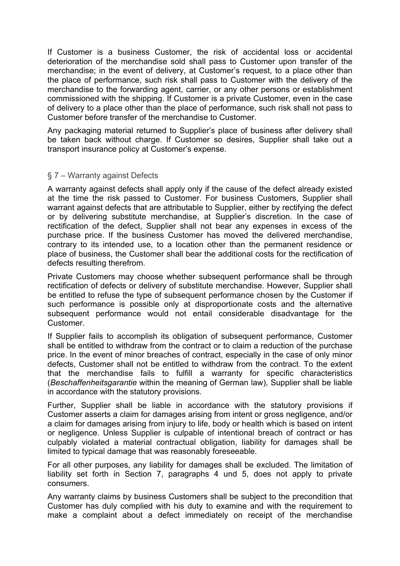If Customer is a business Customer, the risk of accidental loss or accidental deterioration of the merchandise sold shall pass to Customer upon transfer of the merchandise; in the event of delivery, at Customer's request, to a place other than the place of performance, such risk shall pass to Customer with the delivery of the merchandise to the forwarding agent, carrier, or any other persons or establishment commissioned with the shipping. If Customer is a private Customer, even in the case of delivery to a place other than the place of performance, such risk shall not pass to Customer before transfer of the merchandise to Customer.

Any packaging material returned to Supplier's place of business after delivery shall be taken back without charge. If Customer so desires, Supplier shall take out a transport insurance policy at Customer's expense.

# § 7 – Warranty against Defects

A warranty against defects shall apply only if the cause of the defect already existed at the time the risk passed to Customer. For business Customers, Supplier shall warrant against defects that are attributable to Supplier, either by rectifying the defect or by delivering substitute merchandise, at Supplier's discretion. In the case of rectification of the defect, Supplier shall not bear any expenses in excess of the purchase price. If the business Customer has moved the delivered merchandise, contrary to its intended use, to a location other than the permanent residence or place of business, the Customer shall bear the additional costs for the rectification of defects resulting therefrom.

Private Customers may choose whether subsequent performance shall be through rectification of defects or delivery of substitute merchandise. However, Supplier shall be entitled to refuse the type of subsequent performance chosen by the Customer if such performance is possible only at disproportionate costs and the alternative subsequent performance would not entail considerable disadvantage for the Customer.

If Supplier fails to accomplish its obligation of subsequent performance, Customer shall be entitled to withdraw from the contract or to claim a reduction of the purchase price. In the event of minor breaches of contract, especially in the case of only minor defects, Customer shall not be entitled to withdraw from the contract. To the extent that the merchandise fails to fulfill a warranty for specific characteristics (*Beschaffenheitsgarantie* within the meaning of German law), Supplier shall be liable in accordance with the statutory provisions.

Further, Supplier shall be liable in accordance with the statutory provisions if Customer asserts a claim for damages arising from intent or gross negligence, and/or a claim for damages arising from injury to life, body or health which is based on intent or negligence. Unless Supplier is culpable of intentional breach of contract or has culpably violated a material contractual obligation, liability for damages shall be limited to typical damage that was reasonably foreseeable.

For all other purposes, any liability for damages shall be excluded. The limitation of liability set forth in Section 7, paragraphs 4 und 5, does not apply to private consumers.

Any warranty claims by business Customers shall be subject to the precondition that Customer has duly complied with his duty to examine and with the requirement to make a complaint about a defect immediately on receipt of the merchandise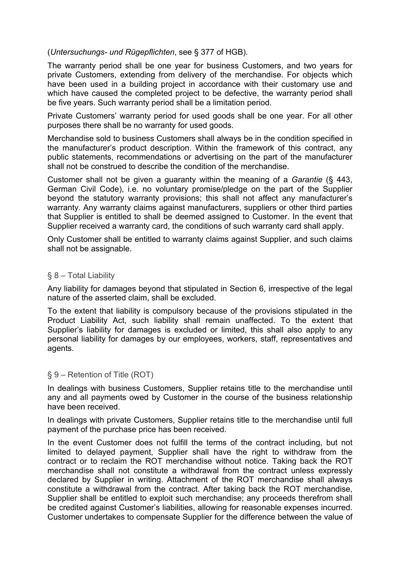(*Untersuchungs- und Rügepflichten*, see § 377 of HGB).

The warranty period shall be one year for business Customers, and two years for private Customers, extending from delivery of the merchandise. For objects which have been used in a building project in accordance with their customary use and which have caused the completed project to be defective, the warranty period shall be five years. Such warranty period shall be a limitation period.

Private Customers' warranty period for used goods shall be one year. For all other purposes there shall be no warranty for used goods.

Merchandise sold to business Customers shall always be in the condition specified in the manufacturer's product description. Within the framework of this contract, any public statements, recommendations or advertising on the part of the manufacturer shall not be construed to describe the condition of the merchandise.

Customer shall not be given a guaranty within the meaning of a *Garantie* (§ 443, German Civil Code), i.e. no voluntary promise/pledge on the part of the Supplier beyond the statutory warranty provisions; this shall not affect any manufacturer's warranty. Any warranty claims against manufacturers, suppliers or other third parties that Supplier is entitled to shall be deemed assigned to Customer. In the event that Supplier received a warranty card, the conditions of such warranty card shall apply.

Only Customer shall be entitled to warranty claims against Supplier, and such claims shall not be assignable.

### § 8 – Total Liability

Any liability for damages beyond that stipulated in Section 6, irrespective of the legal nature of the asserted claim, shall be excluded.

To the extent that liability is compulsory because of the provisions stipulated in the Product Liability Act, such liability shall remain unaffected. To the extent that Supplier's liability for damages is excluded or limited, this shall also apply to any personal liability for damages by our employees, workers, staff, representatives and agents.

#### § 9 – Retention of Title (ROT)

In dealings with business Customers, Supplier retains title to the merchandise until any and all payments owed by Customer in the course of the business relationship have been received.

In dealings with private Customers, Supplier retains title to the merchandise until full payment of the purchase price has been received.

In the event Customer does not fulfill the terms of the contract including, but not limited to delayed payment, Supplier shall have the right to withdraw from the contract or to reclaim the ROT merchandise without notice. Taking back the ROT merchandise shall not constitute a withdrawal from the contract unless expressly declared by Supplier in writing. Attachment of the ROT merchandise shall always constitute a withdrawal from the contract. After taking back the ROT merchandise, Supplier shall be entitled to exploit such merchandise; any proceeds therefrom shall be credited against Customer's liabilities, allowing for reasonable expenses incurred. Customer undertakes to compensate Supplier for the difference between the value of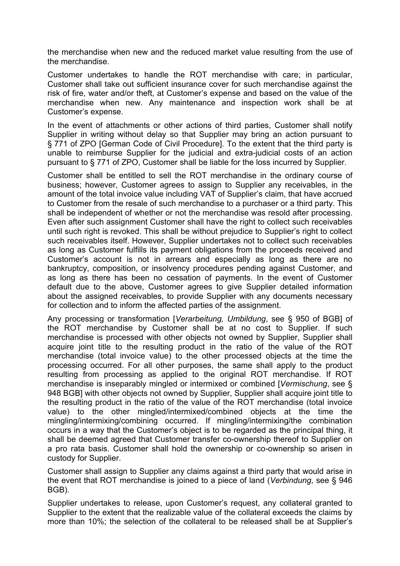the merchandise when new and the reduced market value resulting from the use of the merchandise.

Customer undertakes to handle the ROT merchandise with care; in particular, Customer shall take out sufficient insurance cover for such merchandise against the risk of fire, water and/or theft, at Customer's expense and based on the value of the merchandise when new. Any maintenance and inspection work shall be at Customer's expense.

In the event of attachments or other actions of third parties, Customer shall notify Supplier in writing without delay so that Supplier may bring an action pursuant to § 771 of ZPO [German Code of Civil Procedure]. To the extent that the third party is unable to reimburse Supplier for the judicial and extra-judicial costs of an action pursuant to § 771 of ZPO, Customer shall be liable for the loss incurred by Supplier.

Customer shall be entitled to sell the ROT merchandise in the ordinary course of business; however, Customer agrees to assign to Supplier any receivables, in the amount of the total invoice value including VAT of Supplier's claim, that have accrued to Customer from the resale of such merchandise to a purchaser or a third party. This shall be independent of whether or not the merchandise was resold after processing. Even after such assignment Customer shall have the right to collect such receivables until such right is revoked. This shall be without prejudice to Supplier's right to collect such receivables itself. However, Supplier undertakes not to collect such receivables as long as Customer fulfills its payment obligations from the proceeds received and Customer's account is not in arrears and especially as long as there are no bankruptcy, composition, or insolvency procedures pending against Customer, and as long as there has been no cessation of payments. In the event of Customer default due to the above, Customer agrees to give Supplier detailed information about the assigned receivables, to provide Supplier with any documents necessary for collection and to inform the affected parties of the assignment.

Any processing or transformation [*Verarbeitung, Umbildung*, see § 950 of BGB] of the ROT merchandise by Customer shall be at no cost to Supplier. If such merchandise is processed with other objects not owned by Supplier, Supplier shall acquire joint title to the resulting product in the ratio of the value of the ROT merchandise (total invoice value) to the other processed objects at the time the processing occurred. For all other purposes, the same shall apply to the product resulting from processing as applied to the original ROT merchandise. If ROT merchandise is inseparably mingled or intermixed or combined [*Vermischung*, see § 948 BGB] with other objects not owned by Supplier, Supplier shall acquire joint title to the resulting product in the ratio of the value of the ROT merchandise (total invoice value) to the other mingled/intermixed/combined objects at the time the mingling/intermixing/combining occurred. If mingling/intermixing/the combination occurs in a way that the Customer's object is to be regarded as the principal thing, it shall be deemed agreed that Customer transfer co-ownership thereof to Supplier on a pro rata basis. Customer shall hold the ownership or co-ownership so arisen in custody for Supplier.

Customer shall assign to Supplier any claims against a third party that would arise in the event that ROT merchandise is joined to a piece of land (*Verbindung*, see § 946 BGB).

Supplier undertakes to release, upon Customer's request, any collateral granted to Supplier to the extent that the realizable value of the collateral exceeds the claims by more than 10%; the selection of the collateral to be released shall be at Supplier's